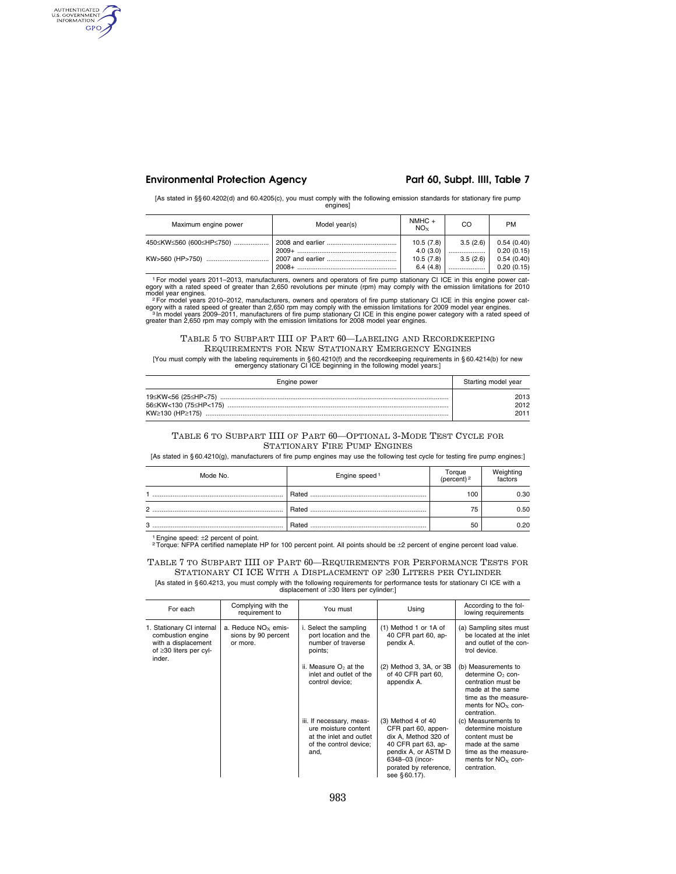## **Environmental Protection Agency Part 60, Subpt. IIII, Table 7**

AUTHENTICATED GPO

[As stated in §§ 60.4202(d) and 60.4205(c), you must comply with the following emission standards for stationary fire pump engines]

| Maximum engine power    | Model year(s) | $NMHC +$<br>$NO_{Y}$  | CO           | <b>PM</b>                |
|-------------------------|---------------|-----------------------|--------------|--------------------------|
| 450≤KW≤560 (600≤HP≤750) |               | 10.5(7.8)             | 3.5(2.6)     | 0.54(0.40)               |
| KW>560 (HP>750)         |               | 4.0(3.0)<br>10.5(7.8) | <br>3.5(2.6) | 0.20(0.15)<br>0.54(0.40) |
|                         |               | 6.4(4.8)              |              | 0.20(0.15)               |

<sup>1</sup> For model years 2011–2013, manufacturers, owners and operators of fire pump stationary CI ICE in this engine power category with a rated speed of greater than 2,650 revolutions per minute (rpm) may comply with the emi

egory with a rated speed of greater than 2,650 rpm may comply with the emission limitations for 2009 model year engines.<br>→ In model years 2009–2011, manufacturers of fire pump stationary CI ICE in this engine power catego

### TABLE 5 TO SUBPART IIII OF PART 60—LABELING AND RECORDKEEPING REQUIREMENTS FOR NEW STATIONARY EMERGENCY ENGINES

[You must comply with the labeling requirements in § 60.4210(f) and the recordkeeping requirements in § 60.4214(b) for new emergency stationary CI ICE beginning in the following model years:]

| Engine power | Starting model year |
|--------------|---------------------|
|              | 2013                |
|              | 2012                |
|              | 2011                |

### TABLE 6 TO SUBPART IIII OF PART 60—OPTIONAL 3-MODE TEST CYCLE FOR STATIONARY FIRE PUMP ENGINES

[As stated in § 60.4210(g), manufacturers of fire pump engines may use the following test cycle for testing fire pump engines:]

| Mode No.       | Engine speed <sup>1</sup> | Torque<br>(percent) <sup>2</sup> | Weighting<br>factors |
|----------------|---------------------------|----------------------------------|----------------------|
|                | Rated                     | 100                              | 0.30                 |
| $\overline{2}$ | Rated                     | 75                               | 0.50                 |
| 3              | Rated                     | 50                               | 0.20                 |

<sup>1</sup> Engine speed: ±2 percent of point.<br><sup>2</sup>Torque: NFPA certified nameplate HP for 100 percent point. All points should be ±2 percent of engine percent load value.

TABLE 7 TO SUBPART IIII OF PART 60—REQUIREMENTS FOR PERFORMANCE TESTS FOR STATIONARY CI ICE WITH A DISPLACEMENT OF  $\geq 30$  LITERS PER CYLINDER [As stated in § 60.4213, you must comply with the following requirements for performance tests for stationary CI ICE with a

|                                                                                                                 |                                                          | TAS Stated in §60.42T3, you must comply with the iollowing requirements for performance tests for stationary GFTCE with a<br>displacement of $\geq$ 30 liters per cylinder: |                                                                                                                                                                               |                                                                                                                                                               |
|-----------------------------------------------------------------------------------------------------------------|----------------------------------------------------------|-----------------------------------------------------------------------------------------------------------------------------------------------------------------------------|-------------------------------------------------------------------------------------------------------------------------------------------------------------------------------|---------------------------------------------------------------------------------------------------------------------------------------------------------------|
| For each                                                                                                        | Complying with the<br>requirement to                     | You must                                                                                                                                                                    | Using                                                                                                                                                                         | According to the fol-<br>lowing requirements                                                                                                                  |
| 1. Stationary CI internal<br>combustion engine<br>with a displacement<br>of $\geq$ 30 liters per cyl-<br>inder. | a. Reduce $NOx$ emis-<br>sions by 90 percent<br>or more. | i. Select the sampling<br>port location and the<br>number of traverse<br>points;                                                                                            | (1) Method 1 or 1A of<br>40 CFR part 60, ap-<br>pendix A.                                                                                                                     | (a) Sampling sites must<br>be located at the inlet<br>and outlet of the con-<br>trol device.                                                                  |
|                                                                                                                 |                                                          | ii. Measure $O2$ at the<br>inlet and outlet of the<br>control device;                                                                                                       | (2) Method 3, 3A, or 3B<br>of 40 CFR part 60,<br>appendix A.                                                                                                                  | (b) Measurements to<br>determine O <sub>2</sub> con-<br>centration must be<br>made at the same<br>time as the measure-<br>ments for $NOx$ con-<br>centration. |
|                                                                                                                 |                                                          | iii. If necessary, meas-<br>ure moisture content<br>at the inlet and outlet<br>of the control device;<br>and,                                                               | $(3)$ Method 4 of 40<br>CFR part 60, appen-<br>dix A, Method 320 of<br>40 CFR part 63, ap-<br>pendix A, or ASTM D<br>6348-03 (incor-<br>porated by reference,<br>see §60.17). | (c) Measurements to<br>determine moisture<br>content must be<br>made at the same<br>time as the measure-<br>ments for $NOx$ con-<br>centration.               |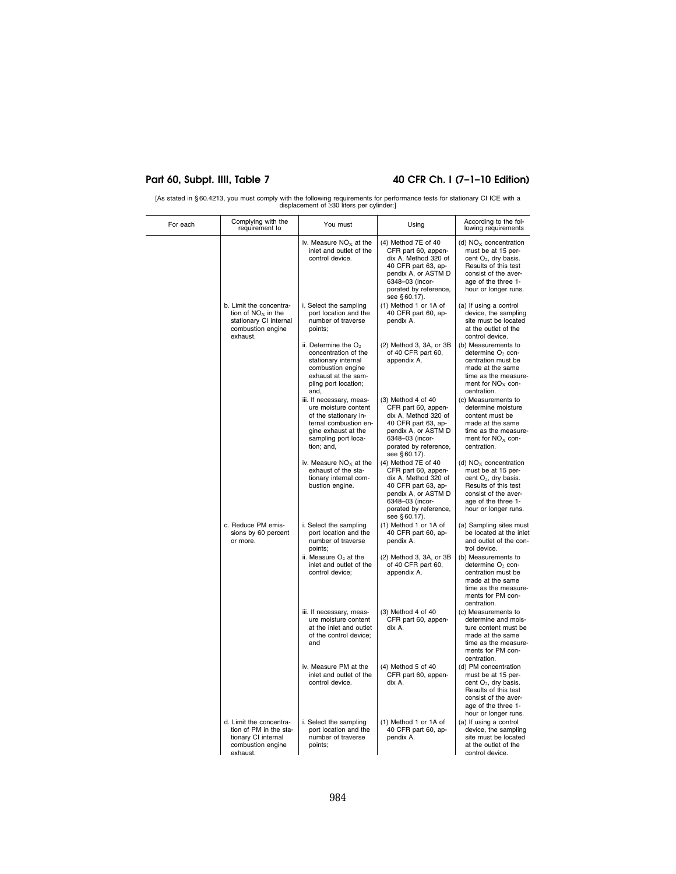$\overline{\phantom{a}}$ 

# Part 60, Subpt. IIII, Table 7 40 CFR Ch. I (7-1-10 Edition)

[As stated in § 60.4213, you must comply with the following requirements for performance tests for stationary CI ICE with a displacement of ≥30 liters per cylinder:]

| For each | Complying with the<br>requirement to                                                                       | You must                                                                                                                                                       | Using                                                                                                                                                                         | According to the fol-<br>lowing requirements                                                                                                                            |
|----------|------------------------------------------------------------------------------------------------------------|----------------------------------------------------------------------------------------------------------------------------------------------------------------|-------------------------------------------------------------------------------------------------------------------------------------------------------------------------------|-------------------------------------------------------------------------------------------------------------------------------------------------------------------------|
|          |                                                                                                            | iv. Measure $NOx$ at the<br>inlet and outlet of the<br>control device.                                                                                         | (4) Method 7E of 40<br>CFR part 60, appen-<br>dix A, Method 320 of<br>40 CFR part 63, ap-<br>pendix A, or ASTM D<br>6348-03 (incor-<br>porated by reference,<br>see §60.17).  | (d) $NOx concentration$<br>must be at 15 per-<br>cent $O_2$ , dry basis.<br>Results of this test<br>consist of the aver-<br>age of the three 1-<br>hour or longer runs. |
|          | b. Limit the concentra-<br>tion of $NOx$ in the<br>stationary CI internal<br>combustion engine<br>exhaust. | i. Select the sampling<br>port location and the<br>number of traverse<br>points;                                                                               | (1) Method 1 or 1A of<br>40 CFR part 60, ap-<br>pendix A.                                                                                                                     | (a) If using a control<br>device, the sampling<br>site must be located<br>at the outlet of the<br>control device.                                                       |
|          |                                                                                                            | ii. Determine the $O2$<br>concentration of the<br>stationary internal<br>combustion engine<br>exhaust at the sam-<br>pling port location;<br>and,              | (2) Method 3, 3A, or 3B<br>of 40 CFR part 60,<br>appendix A.                                                                                                                  | (b) Measurements to<br>determine O <sub>2</sub> con-<br>centration must be<br>made at the same<br>time as the measure-<br>ment for $NOx$ con-<br>centration.            |
|          |                                                                                                            | iii. If necessary, meas-<br>ure moisture content<br>of the stationary in-<br>ternal combustion en-<br>gine exhaust at the<br>sampling port loca-<br>tion; and, | $(3)$ Method 4 of 40<br>CFR part 60, appen-<br>dix A, Method 320 of<br>40 CFR part 63, ap-<br>pendix A, or ASTM D<br>6348-03 (incor-<br>porated by reference,<br>see §60.17). | (c) Measurements to<br>determine moisture<br>content must be<br>made at the same<br>time as the measure-<br>ment for $NOx$ con-<br>centration.                          |
|          |                                                                                                            | iv. Measure $NOx$ at the<br>exhaust of the sta-<br>tionary internal com-<br>bustion engine.                                                                    | (4) Method 7E of 40<br>CFR part 60, appen-<br>dix A, Method 320 of<br>40 CFR part 63, ap-<br>pendix A, or ASTM D<br>6348-03 (incor-<br>porated by reference,<br>see §60.17).  | (d) $NOx$ concentration<br>must be at 15 per-<br>cent $O_2$ , dry basis.<br>Results of this test<br>consist of the aver-<br>age of the three 1-<br>hour or longer runs. |
|          | c. Reduce PM emis-<br>sions by 60 percent<br>or more.                                                      | i. Select the sampling<br>port location and the<br>number of traverse<br>points;                                                                               | (1) Method 1 or 1A of<br>40 CFR part 60, ap-<br>pendix A.                                                                                                                     | (a) Sampling sites must<br>be located at the inlet<br>and outlet of the con-<br>trol device.                                                                            |
|          |                                                                                                            | ii. Measure $O2$ at the<br>inlet and outlet of the<br>control device;                                                                                          | (2) Method 3, 3A, or 3B<br>of 40 CFR part 60,<br>appendix A.                                                                                                                  | (b) Measurements to<br>determine O <sub>2</sub> con-<br>centration must be<br>made at the same<br>time as the measure-<br>ments for PM con-<br>centration.              |
|          |                                                                                                            | iii. If necessary, meas-<br>ure moisture content<br>at the inlet and outlet<br>of the control device:<br>and                                                   | $(3)$ Method 4 of 40<br>CFR part 60, appen-<br>dix A.                                                                                                                         | (c) Measurements to<br>determine and mois-<br>ture content must be<br>made at the same<br>time as the measure-<br>ments for PM con-<br>centration.                      |
|          |                                                                                                            | iv. Measure PM at the<br>inlet and outlet of the<br>control device.                                                                                            | $(4)$ Method 5 of 40<br>CFR part 60, appen-<br>dix A.                                                                                                                         | (d) PM concentration<br>must be at 15 per-<br>cent $O_2$ , dry basis.<br>Results of this test<br>consist of the aver-<br>age of the three 1-<br>hour or longer runs.    |
|          | d. Limit the concentra-<br>tion of PM in the sta-<br>tionary CI internal<br>combustion engine<br>exhaust.  | i. Select the sampling<br>port location and the<br>number of traverse<br>points;                                                                               | (1) Method 1 or 1A of<br>40 CFR part 60, ap-<br>pendix A.                                                                                                                     | (a) If using a control<br>device, the sampling<br>site must be located<br>at the outlet of the<br>control device.                                                       |